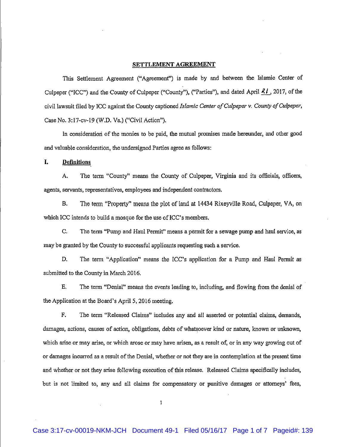## SETTLEMENT AGREEMENT

This Settlement Agreement ("Agreement") is made by and between the Islamic Center of Culpeper ("ICC") and the County of Culpeper ("County"), ("Parties"), and dated April  $71$ , 2017, of the civil lawsuit filed by ICC against the County captioned Islamic Center of Culpeper v. County of Culpeper, Case No. 3:17-cv-19 (W.D. Va.) ("Civil Action").

In consideration of the monies to be paid, the mutual promises made hereunder, and other good and valuable consideration, the undersigned Parties agree as follows:

L. **Definitions** 

A. The term "County" means the County of Culpeper, Virginia and its officials, officers, agents, servants, representatives, employees and independent contractors.

The term "Property" means the plot of land at 14434 Rixeyville Road, Culpeper, VA, on **B.** which ICC intends to build a mosque for the use of ICC's members.

C. The term "Pump and Haul Permit" means a permit for a sewage pump and haul service, as may be granted by the County to successful applicants requesting such a service.

D. The term "Application" means the ICC's application for a Pump and Haul Permit as submitted to the County in March 2016.

Ε. The term "Denial" means the events leading to, including, and flowing from the denial of the Application at the Board's April 5, 2016 meeting.

F. The term "Released Claims" includes any and all asserted or potential claims, demands, damages, actions, causes of action, obligations, debts of whatsoever kind or nature, known or unknown, which arise or may arise, or which arose or may have arisen, as a result of, or in any way growing out of or damages incurred as a result of the Denial, whether or not they are in contemplation at the present time and whether or not they arise following execution of this release. Released Claims specifically includes, but is not limited to, any and all claims for compensatory or punitive damages or attorneys' fees,

 $\mathbf{I}$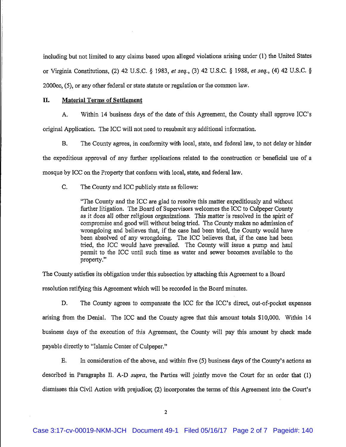including but not limited to any claims based upon alleged violations arising under (1) the United States or Virginia Constitutions, (2) 42 U.S.C. § 1983, et seq., (3) 42 U.S.C. § 1988, et seq., (4) 42 U.S.C. § 2000cc. (5), or any other federal or state statute or regulation or the common law.

## II. **Material Terms of Settlement**

A. Within 14 business days of the date of this Agreement, the County shall approve ICC's original Application. The ICC will not need to resubmit any additional information.

**B.** The County agrees, in conformity with local, state, and federal law, to not delay or hinder the expeditious approval of any further applications related to the construction or beneficial use of a mosque by ICC on the Property that conform with local, state, and federal law.

 $C_{\cdot}$ The County and ICC publicly state as follows:

> "The County and the ICC are glad to resolve this matter expeditiously and without further litigation. The Board of Supervisors welcomes the ICC to Culpeper County as it does all other religious organizations. This matter is resolved in the spirit of compromise and good will without being tried. The County makes no admission of wrongdoing and believes that, if the case had been tried, the County would have been absolved of any wrongdoing. The ICC believes that, if the case had been tried, the ICC would have prevailed. The County will issue a pump and haul permit to the ICC until such time as water and sewer becomes available to the property."

The County satisfies its obligation under this subsection by attaching this Agreement to a Board resolution ratifying this Agreement which will be recorded in the Board minutes.

D. The County agrees to compensate the ICC for the ICC's direct, out-of-pocket expenses arising from the Denial. The ICC and the County agree that this amount totals \$10,000. Within 14 business days of the execution of this Agreement, the County will pay this amount by check made payable directly to "Islamic Center of Culpeper."

E. In consideration of the above, and within five (5) business days of the County's actions as described in Paragraphs II. A-D supra, the Parties will jointly move the Court for an order that (1) dismisses this Civil Action with prejudice; (2) incorporates the terms of this Agreement into the Court's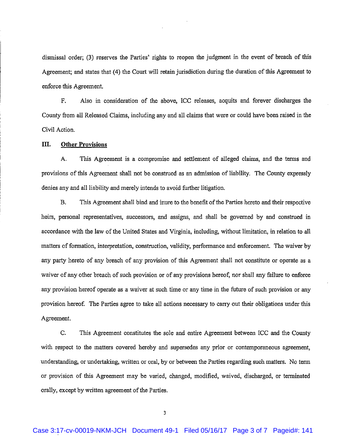dismissal order; (3) reserves the Parties' rights to reopen the judgment in the event of breach of this Agreement; and states that (4) the Court will retain jurisdiction during the duration of this Agreement to enforce this Agreement.

F. Also in consideration of the above, ICC releases, acquits and forever discharges the County from all Released Claims, including any and all claims that were or could have been raised in the Civil Action.

## III. **Other Provisions**

This Agreement is a compromise and settlement of alleged claims, and the terms and A. provisions of this Agreement shall not be construed as an admission of liability. The County expressly denies any and all liability and merely intends to avoid further litigation.

**B.** This Agreement shall bind and inure to the benefit of the Parties hereto and their respective heirs, personal representatives, successors, and assigns, and shall be governed by and construed in accordance with the law of the United States and Virginia, including, without limitation, in relation to all matters of formation, interpretation, construction, validity, performance and enforcement. The waiver by any party hereto of any breach of any provision of this Agreement shall not constitute or operate as a waiver of any other breach of such provision or of any provisions hereof, nor shall any failure to enforce any provision hereof operate as a waiver at such time or any time in the future of such provision or any provision hereof. The Parties agree to take all actions necessary to carry out their obligations under this Agreement.

C. This Agreement constitutes the sole and entire Agreement between ICC and the County with respect to the matters covered hereby and supersedes any prior or contemporaneous agreement, understanding, or undertaking, written or oral, by or between the Parties regarding such matters. No term or provision of this Agreement may be varied, changed, modified, waived, discharged, or terminated orally, except by written agreement of the Parties.

 $\overline{\mathbf{3}}$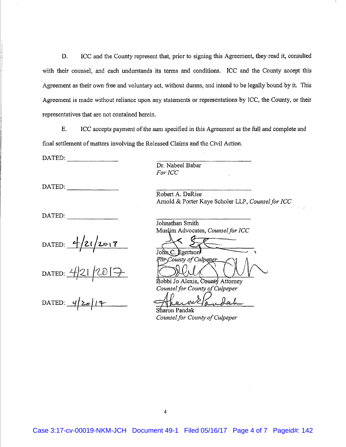D. ICC and the County represent that, prior to signing this Agreement, they read it, consulted with their counsel, and each understands its terms and conditions. ICC and the County accept this Agreement as their own free and voluntary act, without duress, and intend to be legally bound by it. This Agreement is made without reliance upon any statements or representations by ICC, the County, or their representatives that are not contained herein.

E. ICC accepts payment of the sum specified in this Agreement as the full and complete and final settlement of matters involving the Released Claims and the Civil Action.

DATED:

DATED:

 $\begin{array}{cccc}\n\text{DATA} & \text{D} & \text{D} & \text{D} & \text{D} & \text{D} & \text{D} & \text{D} & \text{D} & \text{D} & \text{D} & \text{D} & \text{D} & \text{D} & \text{D} & \text{D} & \text{D} & \text{D} & \text{D} & \text{D} & \text{D} & \text{D} & \text{D} & \text{D} & \text{D} & \text{D} & \text{D} & \text{D} & \text{D} & \text{D} & \text{D} & \text{D} & \text{D} & \text{D} & \text{D} & \text$ 

DATED:  $\frac{4}{21}2017$ <br>DATED:  $\frac{4}{21}2017$ <br>DATED:  $\frac{4}{20}14$ 

Dr. Nabeel Babar For ICC

Robert A. DeRise Arnold & Porter Kaye Scholer LLP, Counsel for ICC

Johnathan Smith Muslim Advocates, Counsel for ICC

 $JohnC$ Egertson For County of Culpeper

Bobbi Jo Alexis. County Attorney Counsel for County of Culpeper

Sharon Pandak Counsel for County of Culpeper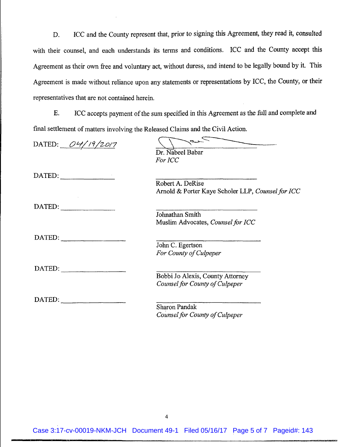ICC and the County represent that, prior to signing this Agreement, they read it, consulted D. with their counsel, and each understands its terms and conditions. ICC and the County accept this Agreement as their own free and voluntary act, without duress, and intend to be legally bound by it. This Agreement is made without reliance upon any statements or representations by ICC, the County, or their representatives that are not contained herein.

ICC accepts payment of the sum specified in this Agreement as the full and complete and E. final settlement of matters involving the Released Claims and the Civil Action.

| DATED: $O41/9/2017$                                                                                                                                                                                                                                                                                                                                                                                                                                                                        | Dr. Nabeel Babar                                  |
|--------------------------------------------------------------------------------------------------------------------------------------------------------------------------------------------------------------------------------------------------------------------------------------------------------------------------------------------------------------------------------------------------------------------------------------------------------------------------------------------|---------------------------------------------------|
|                                                                                                                                                                                                                                                                                                                                                                                                                                                                                            | For ICC                                           |
| $\text{DATED:}\n$                                                                                                                                                                                                                                                                                                                                                                                                                                                                          |                                                   |
|                                                                                                                                                                                                                                                                                                                                                                                                                                                                                            | Robert A. DeRise                                  |
|                                                                                                                                                                                                                                                                                                                                                                                                                                                                                            | Arnold & Porter Kaye Scholer LLP, Counsel for ICC |
| DATED:                                                                                                                                                                                                                                                                                                                                                                                                                                                                                     |                                                   |
|                                                                                                                                                                                                                                                                                                                                                                                                                                                                                            | Johnathan Smith                                   |
|                                                                                                                                                                                                                                                                                                                                                                                                                                                                                            | Muslim Advocates, Counsel for ICC                 |
| DATED:                                                                                                                                                                                                                                                                                                                                                                                                                                                                                     |                                                   |
|                                                                                                                                                                                                                                                                                                                                                                                                                                                                                            | John C. Egertson                                  |
|                                                                                                                                                                                                                                                                                                                                                                                                                                                                                            | For County of Culpeper                            |
| $\blacksquare$ $\blacksquare$ $\blacksquare$ $\blacksquare$ $\blacksquare$ $\blacksquare$ $\blacksquare$ $\blacksquare$ $\blacksquare$ $\blacksquare$ $\blacksquare$ $\blacksquare$ $\blacksquare$ $\blacksquare$ $\blacksquare$ $\blacksquare$ $\blacksquare$ $\blacksquare$ $\blacksquare$ $\blacksquare$ $\blacksquare$ $\blacksquare$ $\blacksquare$ $\blacksquare$ $\blacksquare$ $\blacksquare$ $\blacksquare$ $\blacksquare$ $\blacksquare$ $\blacksquare$ $\blacksquare$ $\blacks$ |                                                   |
|                                                                                                                                                                                                                                                                                                                                                                                                                                                                                            | Bobbi Jo Alexis, County Attorney                  |
|                                                                                                                                                                                                                                                                                                                                                                                                                                                                                            | Counsel for County of Culpeper                    |
| $\text{DATED:}$                                                                                                                                                                                                                                                                                                                                                                                                                                                                            |                                                   |
|                                                                                                                                                                                                                                                                                                                                                                                                                                                                                            | <b>Sharon Pandak</b>                              |
|                                                                                                                                                                                                                                                                                                                                                                                                                                                                                            | Counsel for County of Culpeper                    |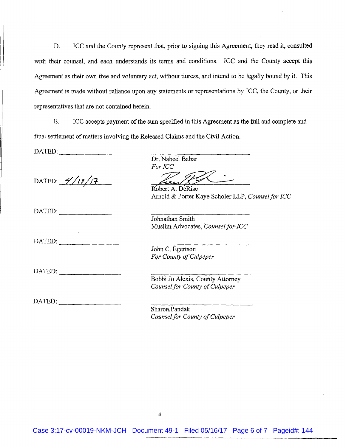D. ICC and the County represent that, prior to signing this Agreement, they read it, consulted with their counsel, and each understands its terms and conditions. ICC and the County accept this Agreement as their own free and voluntary act, without duress, and intend to be legally bound by it. This Agreement is made without reliance upon any statements or representations by ICC, the County, or their representatives that are not contained herein.

E. ICC accepts payment of the sum specified in this Agreement as the full and complete and final settlement of matters involving the Released Claims and the Civil Action.

DATED:

DATED:  $\frac{\frac{1}{\sqrt{12}}}{2}$ 

DATED:

DATED:

DATED:

 $\text{DATED:}\n \begin{array}{ccc}\n \text{} & \text{} & \text{} \\
\hline\n \end{array}$ 

Dr. Nabeel Babar For ICC

Robert A. DeRise Arnold & Porter Kaye Scholer LLP, Counsel for ICC

Johnathan Smith Muslim Advocates, Counsel for ICC

John C. Egertson For County of Culpeper

Bobbi Jo Alexis, County Attorney Counsel for County of Culpeper

Sharon Pandak Counsel for County of Culpeper